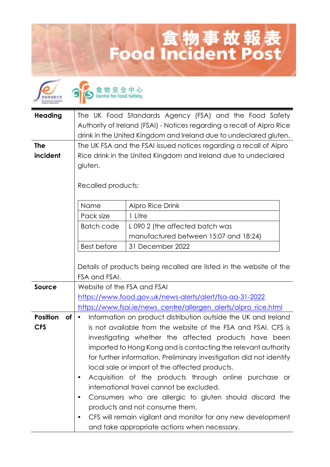## 食物事故報表<br>Food Incident Post

| <b>Heading</b>        | The UK Food Standards Agency (FSA) and the Food Safety<br>Authority of Ireland (FSAI) - Notices regarding a recall of Alpro Rice<br>drink in the United Kingdom and Ireland due to undeclared gluten. |                                                                                                                             |  |
|-----------------------|-------------------------------------------------------------------------------------------------------------------------------------------------------------------------------------------------------|-----------------------------------------------------------------------------------------------------------------------------|--|
| <b>The</b>            | The UK FSA and the FSAI issued notices regarding a recall of Alpro                                                                                                                                    |                                                                                                                             |  |
| incident              | Rice drink in the United Kingdom and Ireland due to undeclared                                                                                                                                        |                                                                                                                             |  |
|                       | gluten.                                                                                                                                                                                               |                                                                                                                             |  |
|                       | Recalled products:                                                                                                                                                                                    |                                                                                                                             |  |
|                       | Name                                                                                                                                                                                                  | <b>Alpro Rice Drink</b>                                                                                                     |  |
|                       | Pack size                                                                                                                                                                                             | 1 Litre                                                                                                                     |  |
|                       | <b>Batch code</b>                                                                                                                                                                                     | L090 2 (the affected batch was                                                                                              |  |
|                       |                                                                                                                                                                                                       | manufactured between 15:07 and 18:24)                                                                                       |  |
|                       | <b>Best before</b>                                                                                                                                                                                    | 31 December 2022                                                                                                            |  |
|                       |                                                                                                                                                                                                       | Details of products being recalled are listed in the website of the                                                         |  |
|                       | FSA and FSAI.                                                                                                                                                                                         |                                                                                                                             |  |
| Source                | Website of the FSA and FSAI                                                                                                                                                                           |                                                                                                                             |  |
|                       |                                                                                                                                                                                                       | https://www.food.gov.uk/news-alerts/alert/fsa-aa-31-2022<br>https://www.fsai.ie/news_centre/allergen_alerts/alpro_rice.html |  |
| <b>Position</b><br>of | $\bullet$                                                                                                                                                                                             |                                                                                                                             |  |
| <b>CFS</b>            | Information on product distribution outside the UK and Ireland<br>is not available from the website of the FSA and FSAI. CFS is                                                                       |                                                                                                                             |  |
|                       | investigating whether the affected products have been                                                                                                                                                 |                                                                                                                             |  |
|                       |                                                                                                                                                                                                       | imported to Hong Kong and is contacting the relevant authority                                                              |  |
|                       |                                                                                                                                                                                                       | for further information. Preliminary investigation did not identify                                                         |  |
|                       |                                                                                                                                                                                                       | local sale or import of the affected products.                                                                              |  |
|                       | $\bullet$                                                                                                                                                                                             | Acquisition of the products through online purchase or                                                                      |  |
|                       |                                                                                                                                                                                                       | international travel cannot be excluded.                                                                                    |  |
|                       | Consumers who are allergic to gluten should discard the<br>٠                                                                                                                                          |                                                                                                                             |  |
|                       |                                                                                                                                                                                                       | products and not consume them.                                                                                              |  |
|                       | ٠                                                                                                                                                                                                     | CFS will remain vigilant and monitor for any new development                                                                |  |
|                       |                                                                                                                                                                                                       | and take appropriate actions when necessary.                                                                                |  |